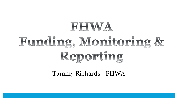# RHWA Funding, Monitoring & Reporting

Tammy Richards - FHWA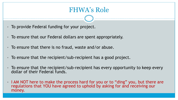### FHWA's Role

- To provide Federal funding for your project.
- To ensure that our Federal dollars are spent appropriately.
- To ensure that there is no fraud, waste and/or abuse.
- To ensure that the recipient/sub-recipient has a good project.
- To ensure that the recipient/sub-recipient has every opportunity to keep every dollar of their Federal funds.
- I AM NOT here to make the process hard for you or to "ding" you, but there are regulations that YOU have agreed to uphold by asking for and receiving our money.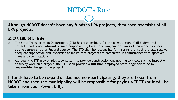## NCDOT's Role

**Although NCDOT doesn't have any funds in LPA projects, they have oversight of all LPA projects.**

#### **23 CFR 635.105(a) & (b)**

- (a) The State Transportation Department (STD) has responsibility for the construction of **all** Federal-aid projects, and **is not relieved of such responsibility by authorizing performance of the work by a local public agency** or other Federal agency. The STD shall be responsible for insuring that such projects receive adequate supervision and inspection to insure that projects are completed in conformance with approved plans and specifications.
- (b) Although the STD may employ a consultant to provide construction engineering services, such as inspection or survey work on a project, **the STD shall provide a full-time employed State engineer to be in responsible charge** of the project.

**If funds have to be re-paid or deemed non-participating, they are taken from NCDOT and then the municipality will be responsible for paying NCDOT (or it will be taken from your Powell Bill).**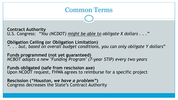#### Common Terms

**Contract Authority** U.S. Congress: *"You (NCDOT) might be able to obligate X dollars . . ."*

**Obligation Ceiling (or Obligation Limitation)** *". . . but, based on overall budget conditions, you can only obligate Y dollars*"

**Funds programmed (not yet guaranteed)** *NCBOT adopts a new "Funding Program" (7-year STIP) every two years*

**Funds obligated (safe from rescission axe)** Upon NCDOT request, FHWA agrees to reimburse for a specific project

**Rescission (***"Houston, we have a problem"***)** Congress decreases the State's Contract Authority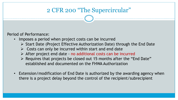#### 2 CFR 200 "The Supercircular"

Period of Performance:

- Imposes a period when project costs can be incurred
	- $\triangleright$  Start Date (Project Effective Authorization Date) through the End Date
	- $\triangleright$  Costs can only be incurred within start and end date
	- $\triangleright$  After project end date no additional costs can be incurred
	- $\triangleright$  Requires that projects be closed out 15 months after the "End Date" established and documented on the FHWA Authorization
- Extension/modification of End Date is authorized by the awarding agency when there is a project delay beyond the control of the recipient/subrecipient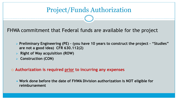### Project/Funds Authorization

FHWA commitment that Federal funds are available for the project

- **Preliminary Engineering (PE) – (you have 10 years to construct the project – "Studies" are not a good idea) CFR 630.112(2)**
- **Right of Way acquisition (ROW)**
- **Construction (CON)**

**Authorization is required prior to incurring any expenses** 

 **Work done before the date of FHWA Division authorization is NOT eligible for reimbursement**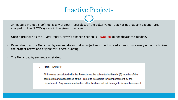#### Inactive Projects

- An Inactive Project is defined as any project (regardless of the dollar value) that has not had any expenditures charged to it in FHWA's system in the given timeframe.
- Once a project hits the 1-year report, FHWA's Finance Section is REQUIRED to deobligate the funding.
- Remember that the Municipal Agreement states that a project must be invoiced at least once every 6 months to keep the project active and eligible for Federal funding.
- The Municipal Agreement also states:
	- **FINAL INVOICE** п

All invoices associated with the Project must be submitted within six (6) months of the completion and acceptance of the Project to be eligible for reimbursement by the Department. Any invoices submitted after this time will not be eligible for reimbursement.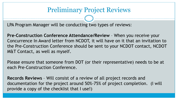#### Preliminary Project Reviews

LPA Program Manager will be conducting two types of reviews:

**Pre-Construction Conference Attendance/Review** – When you receive your Concurrence In Award letter from NCDOT, it will have on it that an invitation to the Pre-Construction Conference should be sent to your NCDOT contact, NCDOT M&T Contact, as well as myself.

Please ensure that someone from DOT (or their representative) needs to be at each Pre-Construction Conference.

**Records Reviews** – Will consist of a review of all project records and documentation for the project around 50%-75% of project completion. (I will provide a copy of the checklist that I use!)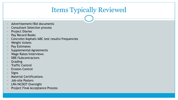# Items Typically Reviewed

- Advertisement/Bid documents
- Consultant Selection process
- Project Diaries
- Pay Record Books
- Concrete/Asphalt/ABC test results/frequencies
- Weight tickets
- Pay Estimates
- Supplemental Agreements
- Wage Rates/Interviews
- DBE/Subcontractors
- **Grading**
- **Traffic Control**
- **Erosion Control**
- **Signs**
- Material Certifications
- Job-site Posters
- LPA/NCDOT Oversight
- Project Final Acceptance Process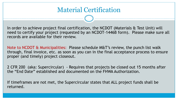In order to achieve project final certification, the NCDOT (Materials & Test Unit) will need to certify your project (requested by an NCDOT-1446B form). Please make sure all records are available for their review.

Note to NCDOT & Municipalities: Please schedule M&T's review, the punch list walk through, final invoice, etc. as soon as you can in the final acceptance process to ensure proper (and timely) project closeout.

2 CFR 200 (aka: Supercircular) - Requires that projects be closed out 15 months after the "End Date" established and documented on the FHWA Authorization.

If timeframes are not met, the Supercircular states that ALL project funds shall be returned.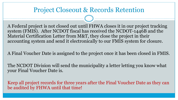#### Project Closeout & Records Retention

A Federal project is not closed out until FHWA closes it in our project tracking system (FMIS). After NCDOT fiscal has received the NCDOT-1446B and the Material Certification Letter from M&T, they close the project in their accounting system and send it electronically to our FMIS system for closure.

A Final Voucher Date is assigned to the project once it has been closed in FMIS.

The NCDOT Division will send the municipality a letter letting you know what your Final Voucher Date is.

Keep all project records for three years after the Final Voucher Date as they can be audited by FHWA until that time!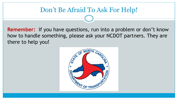#### Don't Be Afraid To Ask For Help!

**Remember:** If you have questions, run into a problem or don't know how to handle something, please ask your NCDOT partners. They are there to help you!